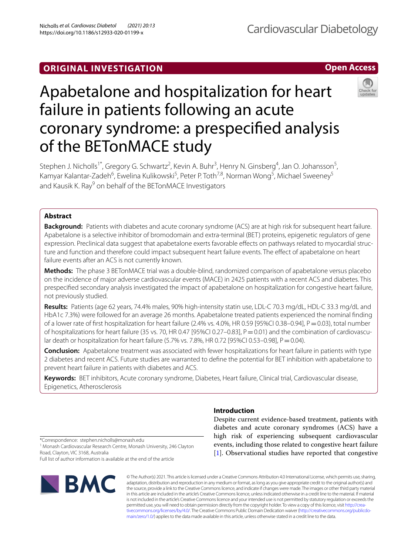## **ORIGINAL INVESTIGATION**

**Open Access**

# Apabetalone and hospitalization for heart failure in patients following an acute coronary syndrome: a prespecifed analysis of the BETonMACE study

Stephen J. Nicholls<sup>1\*</sup>, Gregory G. Schwartz<sup>2</sup>, Kevin A. Buhr<sup>3</sup>, Henry N. Ginsberg<sup>4</sup>, Jan O. Johansson<sup>5</sup>, Kamyar Kalantar-Zadeh<sup>6</sup>, Ewelina Kulikowski<sup>5</sup>, Peter P. Toth<sup>7,8</sup>, Norman Wong<sup>5</sup>, Michael Sweeney<sup>5</sup> and Kausik K. Ray<sup>9</sup> on behalf of the BETonMACE Investigators

## **Abstract**

**Background:** Patients with diabetes and acute coronary syndrome (ACS) are at high risk for subsequent heart failure. Apabetalone is a selective inhibitor of bromodomain and extra-terminal (BET) proteins, epigenetic regulators of gene expression. Preclinical data suggest that apabetalone exerts favorable effects on pathways related to myocardial structure and function and therefore could impact subsequent heart failure events. The effect of apabetalone on heart failure events after an ACS is not currently known.

**Methods:** The phase 3 BETonMACE trial was a double-blind, randomized comparison of apabetalone versus placebo on the incidence of major adverse cardiovascular events (MACE) in 2425 patients with a recent ACS and diabetes. This prespecifed secondary analysis investigated the impact of apabetalone on hospitalization for congestive heart failure, not previously studied.

**Results:** Patients (age 62 years, 74.4% males, 90% high-intensity statin use, LDL-C 70.3 mg/dL, HDL-C 33.3 mg/dL and HbA1c 7.3%) were followed for an average 26 months. Apabetalone treated patients experienced the nominal fnding of a lower rate of first hospitalization for heart failure (2.4% vs. 4.0%, HR 0.59 [95%CI 0.38–0.94],  $P = 0.03$ ), total number of hospitalizations for heart failure (35 vs. 70, HR 0.47 [95%CI 0.27–0.83],  $P = 0.01$ ) and the combination of cardiovascular death or hospitalization for heart failure (5.7% vs. 7.8%, HR 0.72 [95%CI 0.53-0.98], P=0.04).

**Conclusion:** Apabetalone treatment was associated with fewer hospitalizations for heart failure in patients with type 2 diabetes and recent ACS. Future studies are warranted to defne the potential for BET inhibition with apabetalone to prevent heart failure in patients with diabetes and ACS.

**Keywords:** BET inhibitors, Acute coronary syndrome, Diabetes, Heart failure, Clinical trial, Cardiovascular disease, Epigenetics, Atherosclerosis

## **Introduction**

Despite current evidence-based treatment, patients with diabetes and acute coronary syndromes (ACS) have a high risk of experiencing subsequent cardiovascular events, including those related to congestive heart failure [[1\]](#page-7-0). Observational studies have reported that congestive

\*Correspondence: stephen.nicholls@monash.edu

<sup>1</sup> Monash Cardiovascular Research Centre, Monash University, 246 Clayton Road, Clayton, VIC 3168, Australia

Full list of author information is available at the end of the article



© The Author(s) 2021. This article is licensed under a Creative Commons Attribution 4.0 International License, which permits use, sharing, adaptation, distribution and reproduction in any medium or format, as long as you give appropriate credit to the original author(s) and the source, provide a link to the Creative Commons licence, and indicate if changes were made. The images or other third party material in this article are included in the article's Creative Commons licence, unless indicated otherwise in a credit line to the material. If material is not included in the article's Creative Commons licence and your intended use is not permitted by statutory regulation or exceeds the permitted use, you will need to obtain permission directly from the copyright holder. To view a copy of this licence, visit http://crea[tivecommons.org/licenses/by/4.0/.](http://creativecommons.org/licenses/by/4.0/) The Creative Commons Public Domain Dedication waiver (http://creativecommons.org/publicdo[main/zero/1.0/\)](http://creativecommons.org/publicdomain/zero/1.0/) applies to the data made available in this article, unless otherwise stated in a credit line to the data.

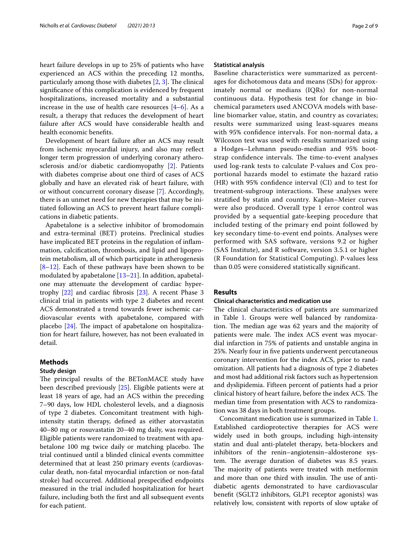heart failure develops in up to 25% of patients who have experienced an ACS within the preceding 12 months, particularly among those with diabetes  $[2, 3]$  $[2, 3]$  $[2, 3]$ . The clinical signifcance of this complication is evidenced by frequent hospitalizations, increased mortality and a substantial increase in the use of health care resources  $[4-6]$  $[4-6]$ . As a result, a therapy that reduces the development of heart failure after ACS would have considerable health and health economic benefts.

Development of heart failure after an ACS may result from ischemic myocardial injury, and also may refect longer term progression of underlying coronary atherosclerosis and/or diabetic cardiomyopathy [\[2](#page-7-1)]. Patients with diabetes comprise about one third of cases of ACS globally and have an elevated risk of heart failure, with or without concurrent coronary disease [\[7](#page-7-5)]. Accordingly, there is an unmet need for new therapies that may be initiated following an ACS to prevent heart failure complications in diabetic patients.

Apabetalone is a selective inhibitor of bromodomain and extra-terminal (BET) proteins. Preclinical studies have implicated BET proteins in the regulation of infammation, calcifcation, thrombosis, and lipid and lipoprotein metabolism, all of which participate in atherogenesis [[8–](#page-7-6)[12\]](#page-7-7). Each of these pathways have been shown to be modulated by apabetalone [[13–](#page-7-8)[21](#page-7-9)]. In addition, apabetalone may attenuate the development of cardiac hypertrophy [\[22\]](#page-7-10) and cardiac fbrosis [[23\]](#page-7-11). A recent Phase 3 clinical trial in patients with type 2 diabetes and recent ACS demonstrated a trend towards fewer ischemic cardiovascular events with apabetalone, compared with placebo  $[24]$  $[24]$ . The impact of apabetalone on hospitalization for heart failure, however, has not been evaluated in detail.

## **Methods**

### **Study design**

The principal results of the BETonMACE study have been described previously [[25\]](#page-7-13). Eligible patients were at least 18 years of age, had an ACS within the preceding 7–90 days, low HDL cholesterol levels, and a diagnosis of type 2 diabetes. Concomitant treatment with highintensity statin therapy, defned as either atorvastatin 40–80 mg or rosuvastatin 20–40 mg daily, was required. Eligible patients were randomized to treatment with apabetalone 100 mg twice daily or matching placebo. The trial continued until a blinded clinical events committee determined that at least 250 primary events (cardiovascular death, non-fatal myocardial infarction or non-fatal stroke) had occurred. Additional prespecifed endpoints measured in the trial included hospitalization for heart failure, including both the frst and all subsequent events for each patient.

## **Statistical analysis**

Baseline characteristics were summarized as percentages for dichotomous data and means (SDs) for approximately normal or medians (IQRs) for non-normal continuous data. Hypothesis test for change in biochemical parameters used ANCOVA models with baseline biomarker value, statin, and country as covariates; results were summarized using least-squares means with 95% confdence intervals. For non-normal data, a Wilcoxon test was used with results summarized using a Hodges–Lehmann pseudo-median and 95% bootstrap confidence intervals. The time-to-event analyses used log-rank tests to calculate P-values and Cox proportional hazards model to estimate the hazard ratio (HR) with 95% confdence interval (CI) and to test for treatment-subgroup interactions. These analyses were stratifed by statin and country. Kaplan–Meier curves were also produced. Overall type 1 error control was provided by a sequential gate-keeping procedure that included testing of the primary end point followed by key secondary time-to-event end points. Analyses were performed with SAS software, versions 9.2 or higher (SAS Institute), and R software, version 3.5.1 or higher (R Foundation for Statistical Computing). P-values less than 0.05 were considered statistically signifcant.

## **Results**

## **Clinical characteristics and medication use**

The clinical characteristics of patients are summarized in Table [1.](#page-2-0) Groups were well balanced by randomization. The median age was 62 years and the majority of patients were male. The index ACS event was myocardial infarction in 75% of patients and unstable angina in 25%. Nearly four in fve patients underwent percutaneous coronary intervention for the index ACS, prior to randomization. All patients had a diagnosis of type 2 diabetes and most had additional risk factors such as hypertension and dyslipidemia. Fifteen percent of patients had a prior clinical history of heart failure, before the index ACS. The median time from presentation with ACS to randomization was 38 days in both treatment groups.

Concomitant medication use is summarized in Table [1](#page-2-0). Established cardioprotective therapies for ACS were widely used in both groups, including high-intensity statin and dual anti-platelet therapy, beta-blockers and inhibitors of the renin–angiotensin–aldosterone system. The average duration of diabetes was 8.5 years. The majority of patients were treated with metformin and more than one third with insulin. The use of antidiabetic agents demonstrated to have cardiovascular beneft (SGLT2 inhibitors, GLP1 receptor agonists) was relatively low, consistent with reports of slow uptake of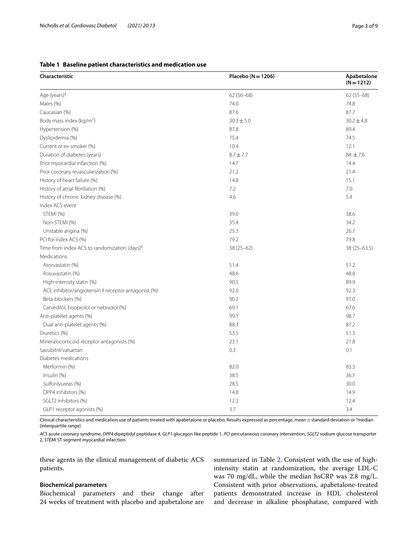## <span id="page-2-0"></span>**Table 1 Baseline patient characteristics and medication use**

| Characteristic                                           | Placebo ( $N = 1206$ ) | Apabetalone<br>$(N = 1212)$ |  |
|----------------------------------------------------------|------------------------|-----------------------------|--|
| Age (years) <sup>a</sup>                                 | $62(56-68)$            | $62(55 - 68)$               |  |
| Males (%)                                                | 74.0                   | 74.8                        |  |
| Caucasian (%)                                            | 87.6                   | 87.7                        |  |
| Body mass index (kg/m <sup>2</sup> )                     | $30.3 \pm 5.0$         | $30.2 \pm 4.8$              |  |
| Hypertension (%)                                         | 87.8                   | 89.4                        |  |
| Dyslipidemia (%)                                         | 75.4                   | 74.5                        |  |
| Current or ex-smoker (%)                                 | 10.4                   | 12.1                        |  |
| Duration of diabetes (years)                             | $8.7 \pm 7.7$          | $84. \pm 7.6$               |  |
| Prior myocardial infarction (%)                          | 14.7                   | 14.4                        |  |
| Prior coronary revascularization (%)                     | 21.2                   | 21.4                        |  |
| History of heart failure (%)                             | 14.8                   | 15.1                        |  |
| History of atrial fibrillation (%)                       | 7.2                    | 7.0                         |  |
| History of chronic kidney disease (%)                    | 4.6                    | 5.4                         |  |
| Index ACS event                                          |                        |                             |  |
| STEMI (%)                                                | 39.0                   | 38.6                        |  |
| Non-STEMI (%)                                            | 35.4                   | 34.2                        |  |
| Unstable angina (%)                                      | 25.3                   | 26.7                        |  |
| PCI for index ACS (%)                                    | 79.2                   | 79.8                        |  |
| Time from index ACS to randomization (days) <sup>a</sup> | $38(25 - 62)$          | $38(25-63.5)$               |  |
| Medications                                              |                        |                             |  |
| Atorvastatin (%)                                         | 51.4                   | 51.2                        |  |
| Rosuvastatin (%)                                         | 48.6                   | 48.8                        |  |
| High-intensity statin (%)                                | 90.5                   | 89.9                        |  |
| ACE inhibitor/angiotensin II receptor antagonist (%)     | 92.0                   | 92.3                        |  |
| Beta-blockers (%)                                        | 90.2                   | 91.0                        |  |
| Carvedilol, bisoprolol or nebivolol (%)                  | 69.1                   | 67.6                        |  |
| Anti-platelet agents (%)                                 | 99.1                   | 98.7                        |  |
| Dual anti-platelet agents (%)                            | 88.3                   | 87.2                        |  |
| Diuretics (%)                                            | 53.5                   | 51.3                        |  |
| Mineralocorticoid receptor antagonists (%)               | 23.1                   | 21.8                        |  |
| Sacubitril/valsartan                                     | 0.3                    | 0.1                         |  |
| Diabetes medications                                     |                        |                             |  |
| Metformin (%)                                            | 82.0                   | 83.3                        |  |
| Insulin (%)                                              | 38.5                   | 36.7                        |  |
| Sulfonlyureas (%)                                        | 28.5                   | 30.0                        |  |
| DPP4 inhibitors (%)                                      | 14.8                   | 14.9                        |  |
| SGLT2 inhibitors (%)                                     | 12.3                   | 12.4                        |  |
| GLP1 receptor agonists (%)                               | 3.7                    | 3.4                         |  |

Clinical characteristics and medication use of patients treated with apabetalone or placebo. Results expressed as percentage, mean $\pm$ standard deviation or <sup>a</sup>median (interquartile range)

*ACS* acute coronary syndrome, *DPP4* dipeptidyl peptidase 4, *GLP1* glucagon like peptide 1, *PCI* percutaneous coronary intervention, *SGLT2* sodium glucose transporter 2, *STEMI* ST segment myocardial infarction

these agents in the clinical management of diabetic ACS patients.

## **Biochemical parameters**

Biochemical parameters and their change after 24 weeks of treatment with placebo and apabetalone are summarized in Table [2.](#page-3-0) Consistent with the use of highintensity statin at randomization, the average LDL-C was 70 mg/dL, while the median hsCRP was 2.8 mg/L. Consistent with prior observations, apabetalone-treated patients demonstrated increase in HDL cholesterol and decrease in alkaline phosphatase, compared with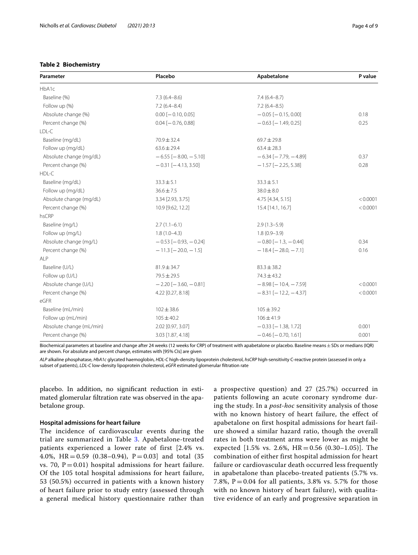## <span id="page-3-0"></span>**Table 2 Biochemistry**

| Parameter                | Placebo                       | Apabetalone                   | P value  |
|--------------------------|-------------------------------|-------------------------------|----------|
| HbA1c                    |                               |                               |          |
| Baseline (%)             | $7.3(6.4 - 8.6)$              | $7.4(6.4 - 8.7)$              |          |
| Follow up (%)            | $7.2(6.4 - 8.4)$              | $7.2(6.4 - 8.5)$              |          |
| Absolute change (%)      | $0.00$ [ $-0.10$ , 0.05]      | $-0.05$ [ $-0.15, 0.00$ ]     | 0.18     |
| Percent change (%)       | $0.04$ [ $-0.76$ , 0.88]      | $-0.63$ [ $-1.49, 0.25$ ]     | 0.25     |
| $ID-C$                   |                               |                               |          |
| Baseline (mg/dL)         | 70.9 ± 32.4                   | $69.7 \pm 29.8$               |          |
| Follow up (mg/dL)        | $63.6 \pm 29.4$               | $63.4 \pm 28.3$               |          |
| Absolute change (mg/dL)  | $-6.55$ [ $-8.00$ , $-5.10$ ] | $-6.34[-7.79, -4.89]$         | 0.37     |
| Percent change (%)       | $-0.31$ [ $-4.13$ , 3.50]     | $-1.57$ [ $-2.25, 5.38$ ]     | 0.28     |
| HDL-C                    |                               |                               |          |
| Baseline (mg/dL)         | $33.3 \pm 5.1$                | $33.3 \pm 5.1$                |          |
| Follow up (mg/dL)        | $36.6 \pm 7.5$                | $38.0 \pm 8.0$                |          |
| Absolute change (mg/dL)  | 3.34 [2.93, 3.75]             | 4.75 [4.34, 5.15]             | < 0.0001 |
| Percent change (%)       | 10.9 [9.62, 12.2]             | 15.4 [14.1, 16.7]             | < 0.0001 |
| hsCRP                    |                               |                               |          |
| Baseline (mg/L)          | $2.7(1.1-6.1)$                | $2.9(1.3-5.9)$                |          |
| Follow up (mg/L)         | $1.8(1.0-4.3)$                | $1.8(0.9 - 3.9)$              |          |
| Absolute change (mg/L)   | $-0.53$ [ $-0.93$ , $-0.24$ ] | $-0.80$ [ $-1.3$ , $-0.44$ ]  | 0.34     |
| Percent change (%)       | $-11.3$ [ $-20.0$ , $-1.5$ ]  | $-18.4$ [ $-28.0$ , $-7.1$ ]  |          |
| ALP                      |                               |                               |          |
| Baseline (U/L)           | $81.9 \pm 34.7$               | $83.3 \pm 38.2$               |          |
| Follow up (U/L)          | $79.5 \pm 29.5$               | $74.3 \pm 43.2$               |          |
| Absolute change (U/L)    | $-2.20[-3.60, -0.81]$         | $-8.98$ [ $-10.4$ , $-7.59$ ] | < 0.0001 |
| Percent change (%)       | 4.22 [0.27, 8.18]             | $-8.31[-12.2, -4.37]$         | < 0.0001 |
| eGFR                     |                               |                               |          |
| Baseline (mL/min)        | $102 \pm 38.6$                | $105 \pm 39.2$                |          |
| Follow up (mL/min)       | $105 \pm 40.2$                | $106 \pm 41.9$                |          |
| Absolute change (mL/min) | 2.02 [0.97, 3.07]             | $-0.33$ [ $-1.38$ , 1.72]     | 0.001    |
| Percent change (%)       | 3.03 [1.87, 4.18]             | $-0.46$ [ $-0.70$ , 1.61]     | 0.001    |

Biochemical parameters at baseline and change after 24 weeks (12 weeks for CRP) of treatment with apabetalone or placebo. Baseline means±SDs or medians (IQR) are shown. For absolute and percent change, estimates with [95% CIs] are given

*ALP* alkaline phosphatase, *HbA1c* glycated haemoglobin, *HDL-C* high-density lipoprotein cholesterol, *hsCRP* high-sensitivity C-reactive protein (assessed in only a subset of patients), *LDL-C* low-density lipoprotein cholesterol, *eGFR* estimated glomerular fltration rate

placebo. In addition, no signifcant reduction in estimated glomerular fltration rate was observed in the apabetalone group.

## **Hospital admissions for heart failure**

The incidence of cardiovascular events during the trial are summarized in Table [3](#page-4-0). Apabetalone-treated patients experienced a lower rate of first [2.4% vs. 4.0%, HR  $= 0.59$  (0.38–0.94), P  $= 0.03$  and total (35 vs. 70,  $P = 0.01$ ) hospital admissions for heart failure. Of the 105 total hospital admissions for heart failure, 53 (50.5%) occurred in patients with a known history of heart failure prior to study entry (assessed through a general medical history questionnaire rather than a prospective question) and 27 (25.7%) occurred in patients following an acute coronary syndrome during the study. In a *post-hoc* sensitivity analysis of those with no known history of heart failure, the effect of apabetalone on first hospital admissions for heart failure showed a similar hazard ratio, though the overall rates in both treatment arms were lower as might be expected  $[1.5\% \text{ vs. } 2.6\%, \text{ HR} = 0.56 \ (0.30-1.05)].$  The combination of either first hospital admission for heart failure or cardiovascular death occurred less frequently in apabetalone than placebo-treated patients (5.7% vs. 7.8%,  $P = 0.04$  for all patients, 3.8% vs. 5.7% for those with no known history of heart failure), with qualitative evidence of an early and progressive separation in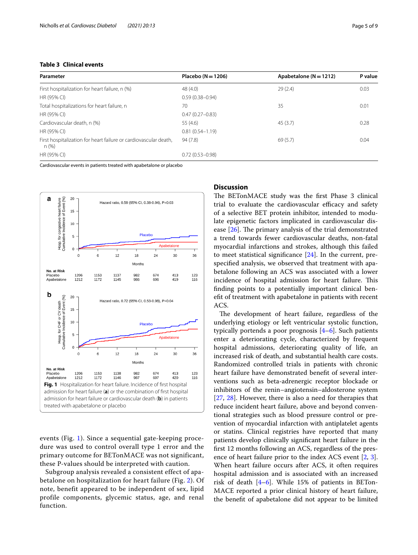## <span id="page-4-0"></span>**Table 3 Clinical events**

| Parameter                                                                 | Placebo ( $N = 1206$ ) | Apabetalone ( $N = 1212$ ) | P value |
|---------------------------------------------------------------------------|------------------------|----------------------------|---------|
| First hospitalization for heart failure, n (%)                            | 48(4.0)                | 29(2.4)                    | 0.03    |
| HR (95% CI)                                                               | $0.59(0.38 - 0.94)$    |                            |         |
| Total hospitalizations for heart failure, n                               | 70                     | 35                         | 0.01    |
| HR (95% CI)                                                               | $0.47(0.27 - 0.83)$    |                            |         |
| Cardiovascular death, n (%)                                               | 55(4.6)                | 45(3.7)                    | 0.28    |
| HR (95% CI)                                                               | $0.81(0.54 - 1.19)$    |                            |         |
| First hospitalization for heart failure or cardiovascular death.<br>n (%) | 94(7.8)                | 69(5.7)                    | 0.04    |
| HR (95% CI)                                                               | $0.72(0.53 - 0.98)$    |                            |         |

Cardiovascular events in patients treated with apabetalone or placebo



<span id="page-4-1"></span>events (Fig. [1\)](#page-4-1). Since a sequential gate-keeping procedure was used to control overall type 1 error and the primary outcome for BETonMACE was not significant, these P-values should be interpreted with caution.

Subgroup analysis revealed a consistent effect of apabetalone on hospitalization for heart failure (Fig. [2](#page-5-0)). Of note, benefit appeared to be independent of sex, lipid profile components, glycemic status, age, and renal function.

## **Discussion**

The BETonMACE study was the first Phase 3 clinical trial to evaluate the cardiovascular efficacy and safety of a selective BET protein inhibitor, intended to modulate epigenetic factors implicated in cardiovascular disease  $[26]$  $[26]$ . The primary analysis of the trial demonstrated a trend towards fewer cardiovascular deaths, non-fatal myocardial infarctions and strokes, although this failed to meet statistical signifcance [[24](#page-7-12)]. In the current, prespecifed analysis, we observed that treatment with apabetalone following an ACS was associated with a lower incidence of hospital admission for heart failure. This fnding points to a potentially important clinical beneft of treatment with apabetalone in patients with recent ACS.

The development of heart failure, regardless of the underlying etiology or left ventricular systolic function, typically portends a poor prognosis [\[4](#page-7-3)[–6](#page-7-4)]. Such patients enter a deteriorating cycle, characterized by frequent hospital admissions, deteriorating quality of life, an increased risk of death, and substantial health care costs. Randomized controlled trials in patients with chronic heart failure have demonstrated beneft of several interventions such as beta-adrenergic receptor blockade or inhibitors of the renin–angiotensin–aldosterone system [[27,](#page-8-1) [28\]](#page-8-2). However, there is also a need for therapies that reduce incident heart failure, above and beyond conventional strategies such as blood pressure control or prevention of myocardial infarction with antiplatelet agents or statins. Clinical registries have reported that many patients develop clinically signifcant heart failure in the frst 12 months following an ACS, regardless of the presence of heart failure prior to the index ACS event [\[2,](#page-7-1) [3](#page-7-2)]. When heart failure occurs after ACS, it often requires hospital admission and is associated with an increased risk of death [[4–](#page-7-3)[6\]](#page-7-4). While 15% of patients in BETon-MACE reported a prior clinical history of heart failure, the beneft of apabetalone did not appear to be limited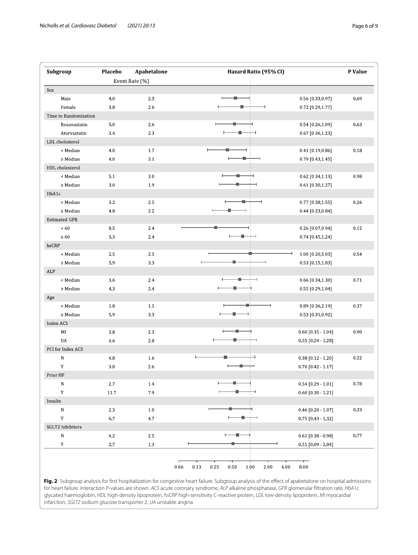| Subgroup             |                       | Placebo | Apabetalone    | Hazard Ratio (95% CI) |                          | P Value |
|----------------------|-----------------------|---------|----------------|-----------------------|--------------------------|---------|
|                      |                       |         | Event Rate (%) |                       |                          |         |
| Sex                  |                       |         |                |                       |                          |         |
| Male                 |                       | 4.0     | 2.3            |                       | 0.56 [0.33,0.97]         | 0.69    |
|                      | Female                | 3.8     | 2.6            |                       | 0.72 [0.29,1.77]         |         |
|                      | Time to Randomization |         |                |                       |                          |         |
|                      | Rosuvastatin          | $5.0\,$ | 2.6            |                       | 0.54 [0.26,1.09]         | 0.63    |
|                      | Atorvastatin          | 34      | 2.3            |                       | 0.67 [0.36,1.23]         |         |
| LDL cholesterol      |                       |         |                |                       |                          |         |
|                      | < Median              | 4.0     | 1.7            |                       | 0.41 [0.19,0.86]         | 0.18    |
|                      | $\geq$ Median         | 4.0     | 3.1            |                       | 0.79 [0.43,1.45]         |         |
| HDL cholesterol      |                       |         |                |                       |                          |         |
|                      | < Median              | 5.1     | 3.0            |                       | 0.62 [0.34,1.13]         | 0.98    |
|                      | $\geq$ Median         | $3.0\,$ | 1.9            |                       | 0.61 [0.30,1.27]         |         |
| HbA1c                |                       |         |                |                       |                          |         |
|                      | < Median              | 3.2     | 2.5            |                       | 0.77 [0.38,1.55]         | 0.26    |
|                      | $\geq$ Median         | 4.8     | 2.2            |                       | 0.44 [0.23,0.84]         |         |
| <b>Estimated GFR</b> |                       |         |                |                       |                          |         |
| < 60                 |                       | 8.5     | 2.4            |                       | 0.26 [0.07,0.94]         | 0.12    |
| $\geq 60$            |                       | 3.3     | 24             |                       | 0.74 [0.45,1.24]         |         |
| hsCRP                |                       |         |                |                       |                          |         |
|                      | < Median              | 2.5     | 2.5            |                       | 1.00 [0.20,5.03]         | 0.54    |
|                      | $\geq$ Median         | 5.9     | 3.3            |                       | 0.53 [0.15,1.83]         |         |
| ALP                  |                       |         |                |                       |                          |         |
|                      | < Median              | 3.6     | 2.4            |                       | 0.66 [0.34,1.30]         | 0.71    |
|                      | $\geq$ Median         | 4.3     | 24             |                       | 0.55 [0.29,1.04]         |         |
| Age                  |                       |         |                |                       |                          |         |
|                      | < Median              | 1.8     | 1.5            |                       | 0.89 [0.36,2.19]         | 0.37    |
|                      | $\geq$ Median         | 5.9     | 3.3            |                       | 0.53 [0.31,0.92]         |         |
| <b>Index ACS</b>     |                       |         |                |                       |                          |         |
| MI                   |                       | 3.8     | 2.3            |                       | $0.60$ [0.35 - 1.04]     | 0.90    |
| UA                   |                       | 4.6     | 2.8            |                       | 0.55 [0.24 1.28]         |         |
| PCI for Index ACS    |                       |         |                |                       |                          |         |
| ${\bf N}$            |                       | $4\,8$  | 1.6            |                       | 0.38 [0.12 - 1.20]       | 0.22    |
| $\mathbf Y$          |                       | 3.8     | 2.6            |                       | 0.70 [0.42 1.17]         |         |
| Prior HF             |                       |         |                |                       |                          |         |
| ${\bf N}$            |                       | 2.7     | 14             |                       | $0.54 [0.29 \cdot 1.01]$ | 0.78    |
| Y                    |                       | 11.7    | 7.9            |                       | $0.60$ [0.30 - 1.21]     |         |
| $\bold{Insulin}$     |                       |         |                |                       |                          |         |
| ${\bf N}$            |                       | 23      | $1.0\,$        |                       | 0.46 [0.20 - 1.07]       | 0.33    |
| $\mathbf Y$          |                       | 6.7     | 4.7            |                       | 0.75 [0.43 - 1.32]       |         |
| SGLT2 Inhibitors     |                       |         |                |                       |                          |         |
| ${\sf N}$            |                       | $4.2\,$ | $2.5\,$        |                       | $0.61$ [0.38 - 0.98]     | 0.77    |
| $\mathbf Y$          |                       | $2.7\,$ | 13             |                       | 0.51 [0.09 - 2.84]       |         |
|                      |                       |         |                |                       |                          |         |

<span id="page-5-0"></span>Fig. 2 Subgroup analysis for first hospitalization for congestive heart failure. Subgroup analysis of the effect of apabetalone on hospital admissions for heart failure. Interaction P-values are shown. *ACS* acute coronary syndrome, *ALP* alkaline phosphatase, *GFR* glomerular fltration rate, *HbA1c* glycated haemoglobin, *HDL* high-density lipoprotein, *hsCRP* high-sensitivity C-reactive protein, *LDL* low-density lipoprotein, *MI* myocardial infarction, *SGLT2* sodium glucose transporter 2, *UA* unstable angina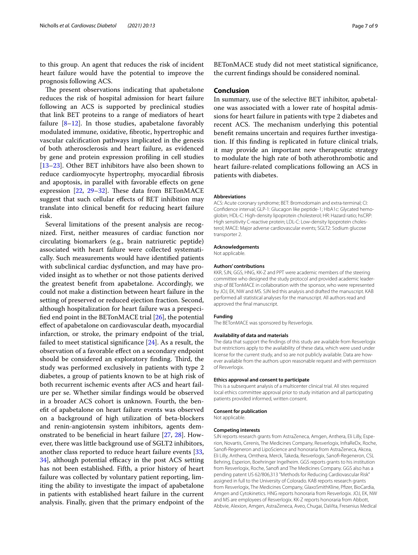to this group. An agent that reduces the risk of incident heart failure would have the potential to improve the prognosis following ACS.

The present observations indicating that apabetalone reduces the risk of hospital admission for heart failure following an ACS is supported by preclinical studies that link BET proteins to a range of mediators of heart failure  $[8-12]$  $[8-12]$ . In those studies, apabetalone favorably modulated immune, oxidative, fbrotic, hypertrophic and vascular calcifcation pathways implicated in the genesis of both atherosclerosis and heart failure, as evidenced by gene and protein expression profling in cell studies [[13–](#page-7-8)[23](#page-7-11)]. Other BET inhibitors have also been shown to reduce cardiomyocyte hypertrophy, myocardial fbrosis and apoptosis, in parallel with favorable efects on gene expression [[22,](#page-7-10) [29](#page-8-3)-32]. These data from BETonMACE suggest that such cellular efects of BET inhibition may translate into clinical beneft for reducing heart failure risk.

Several limitations of the present analysis are recognized. First, neither measures of cardiac function nor circulating biomarkers (e.g., brain natriuretic peptide) associated with heart failure were collected systematically. Such measurements would have identifed patients with subclinical cardiac dysfunction, and may have provided insight as to whether or not those patients derived the greatest beneft from apabetalone. Accordingly, we could not make a distinction between heart failure in the setting of preserved or reduced ejection fraction. Second, although hospitalization for heart failure was a prespecifed end point in the BETonMACE trial [\[26](#page-8-0)], the potential efect of apabetalone on cardiovascular death, myocardial infarction, or stroke, the primary endpoint of the trial, failed to meet statistical signifcance [[24\]](#page-7-12). As a result, the observation of a favorable efect on a secondary endpoint should be considered an exploratory finding. Third, the study was performed exclusively in patients with type 2 diabetes, a group of patients known to be at high risk of both recurrent ischemic events after ACS and heart failure per se. Whether similar fndings would be observed in a broader ACS cohort is unknown. Fourth, the beneft of apabetalone on heart failure events was observed on a background of high utilization of beta-blockers and renin-angiotensin system inhibitors, agents demonstrated to be beneficial in heart failure  $[27, 28]$  $[27, 28]$  $[27, 28]$  $[27, 28]$ . However, there was little background use of SGLT2 inhibitors, another class reported to reduce heart failure events [\[33](#page-8-5),  $34$ , although potential efficacy in the post ACS setting has not been established. Fifth, a prior history of heart failure was collected by voluntary patient reporting, limiting the ability to investigate the impact of apabetalone in patients with established heart failure in the current analysis. Finally, given that the primary endpoint of the BETonMACE study did not meet statistical signifcance, the current fndings should be considered nominal.

## **Conclusion**

In summary, use of the selective BET inhibitor, apabetalone was associated with a lower rate of hospital admissions for heart failure in patients with type 2 diabetes and recent ACS. The mechanism underlying this potential beneft remains uncertain and requires further investigation. If this fnding is replicated in future clinical trials, it may provide an important new therapeutic strategy to modulate the high rate of both atherothrombotic and heart failure-related complications following an ACS in patients with diabetes.

#### **Abbreviations**

ACS: Acute coronary syndrome; BET: Bromodomain and extra-terminal; CI: Confidence interval; GLP-1: Glucagon like peptide-1; HbA1c: Glycated hemoglobin; HDL-C: High-density lipoprotein cholesterol; HR: Hazard ratio; hsCRP: High sensitivity C-reactive protein; LDL-C: Low-density lipoprotein cholesterol; MACE: Major adverse cardiovascular events; SGLT2: Sodium glucose transporter 2.

#### **Acknowledgements**

Not applicable.

#### **Authors' contributions**

KKR, SJN, GGS, HNG, KK-Z and PPT were academic members of the steering committee who designed the study protocol and provided academic leadership of BETonMACE in collaboration with the sponsor, who were represented by JOJ, EK, NW and MS. SJN led this analysis and drafted the manuscript. KAB performed all statistical analyses for the manuscript. All authors read and approved the fnal manuscript.

#### **Funding**

The BETonMACE was sponsored by Resverlogix.

#### **Availability of data and materials**

The data that support the fndings of this study are available from Resverlogix but restrictions apply to the availability of these data, which were used under license for the current study, and so are not publicly available. Data are however available from the authors upon reasonable request and with permission of Resverlogix.

#### **Ethics approval and consent to participate**

This is a subsequent analysis of a multicenter clinical trial. All sites required local ethics committee approval prior to study initiation and all participating patients provided informed, written consent.

#### **Consent for publication**

Not applicable.

#### **Competing interests**

SJN reports research grants from AstraZeneca, Amgen, Anthera, Eli Lilly, Esperion, Novartis, Cerenis, The Medicines Company, Resverlogix, InfraReDx, Roche, Sanof-Regeneron and LipoScience and honoraria from AstraZeneca, Akcea, Eli Lilly, Anthera, Omthera, Merck, Takeda, Resverlogix, Sanof-Regeneron, CSL Behring, Esperion, Boehringer Ingelheim. GGS reports grants to his institution from Resverlogix, Roche, Sanof and The Medicines Company. GGS also has a pending patent US 62/806,313 "Methods for Reducing Cardiovascular Risk" assigned in full to the University of Colorado. KAB reports research grants from Resverlogix, The Medicines Company, GlaxoSmithKline, Pfizer, BioCardia, Amgen and Cytokinetics. HNG reports honoraria from Resverlogix. JOJ, EK, NW and MS are employees of Resverlogix. KK-Z reports honoraria from Abbott, Abbvie, Alexion, Amgen, AstraZeneca, Aveo, Chugai, DaVita, Fresenius Medical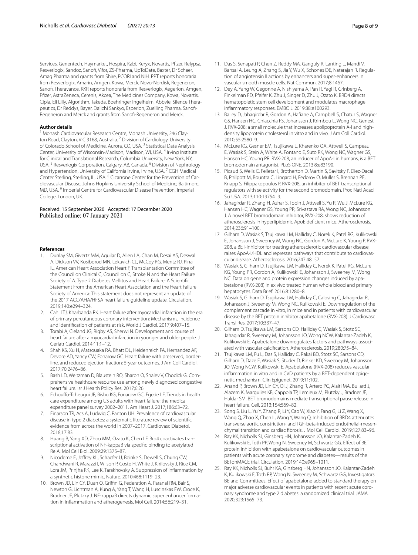Services, Genentech, Haymarket, Hospira, Kabi, Keryx, Novartis, Pfzer, Relypsa, Resverlogix, Sandoz, Sanof, Vifor, ZS-Pharma, UpToDate, Baxter, Dr Schaer, Amag Pharma and grants from Shire, PCORI and NIH. PPT reports honoraria from Resverlogix, Amarin, Amgen, Kowa, Merck, Novo-Nordisk, Regeneron, Sanof, Theravance. KKR reports honoraria from Resverlogix, Aegerion, Amgen, Pfzer, AstraZeneca, Cerenis, Akcea, The Medicines Company, Kowa, Novartis, Cipla, Eli Lilly, Algorithm, Takeda, Boehringer Ingelheim, Abbvie, Silence Therapeutics, Dr Reddys, Bayer, Daiichi Sankyo, Esperion, Zuelling Pharma, Sanof-Regeneron and Merck and grants from Sanof-Regeneron and Merck.

#### **Author details**

<sup>1</sup> Monash Cardiovascular Research Centre, Monash University, 246 Clayton Road, Clayton, VIC 3168, Australia. <sup>2</sup> Division of Cardiology, University of Colorado School of Medicine, Aurora, CO, USA. 3 Statistical Data Analysis Center, University of Wisconsin-Madison, Madison, WI, USA. <sup>4</sup> Irving Institute for Clinical and Translational Research, Columbia University, New York, NY, USA.<sup>5</sup> Resverlogix Corporation, Calgary, AB, Canada.<sup>6</sup> Division of Nephrology and Hypertension, University of California Irvine, Irvine, USA.<sup>7</sup> CGH Medical Center Sterling, Sterling, IL, USA. <sup>8</sup> Cicarrone Center for the Prevention of Cardiovascular Disease, Johns Hopkins University School of Medicine, Baltimore, MD, USA. 9 Imperial Centre for Cardiovascular Disease Prevention, Imperial College, London, UK.

## Received: 15 September 2020 Accepted: 17 December 2020 Published online: 07 January 2021

#### **References**

- <span id="page-7-0"></span>1. Dunlay SM, Givertz MM, Aguilar D, Allen LA, Chan M, Desai AS, Deswal A, Dickson VV, Kosiborod MN, Lekavich CL, McCoy RG, Mentz RJ, Pina IL, American Heart Association Heart F, Transplantation Committee of the Council on Clinical C, Council on C, Stroke N and the Heart Failure Society of A. Type 2 Diabetes Mellitus and Heart Failure: A Scientifc Statement From the American Heart Association and the Heart Failure Society of America: This statement does not represent an update of the 2017 ACC/AHA/HFSA heart failure guideline update. Circulation. 2019;140:e294–324.
- <span id="page-7-1"></span>2. Cahill TJ, Kharbanda RK. Heart failure after myocardial infarction in the era of primary percutaneous coronary intervention: Mechanisms, incidence and identifcation of patients at risk. World J Cardiol. 2017;9:407–15.
- <span id="page-7-2"></span>3. Torabi A, Cleland JG, Rigby AS, Sherwi N. Development and course of heart failure after a myocardial infarction in younger and older people. J Geriatr Cardiol. 2014;11:1–12.
- <span id="page-7-3"></span>4. Shah KS, Xu H, Matsouaka RA, Bhatt DL, Heidenreich PA, Hernandez AF, Devore AD, Yancy CW, Fonarow GC. Heart failure with preserved, borderline, and reduced ejection fraction: 5-year outcomes. J Am Coll Cardiol. 2017;70:2476–86.
- 5. Bash LD, Weitzman D, Blaustein RO, Sharon O, Shalev V, Chodick G. Comprehensive healthcare resource use among newly diagnosed congestive heart failure. Isr J Health Policy Res. 2017;6:26.
- <span id="page-7-4"></span>6. Echoufo-Tcheugui JB, Bishu KG, Fonarow GC, Egede LE. Trends in health care expenditure among US adults with heart failure: the medical expenditure panel survey 2002–2011. Am Heart J. 2017;186:63–72.
- <span id="page-7-5"></span>7. Einarson TR, Acs A, Ludwig C, Panton UH. Prevalence of cardiovascular disease in type 2 diabetes: a systematic literature review of scientifc evidence from across the world in 2007–2017. Cardiovasc Diabetol. 2018;17:83.
- <span id="page-7-6"></span>8. Huang B, Yang XD, Zhou MM, Ozato K, Chen LF. Brd4 coactivates transcriptional activation of NF-kappaB via specifc binding to acetylated RelA. Mol Cell Biol. 2009;29:1375–87.
- 9. Nicodeme E, Jefrey KL, Schaefer U, Beinke S, Dewell S, Chung CW, Chandwani R, Marazzi I, Wilson P, Coste H, White J, Kirilovsky J, Rice CM, Lora JM, Prinjha RK, Lee K, Tarakhovsky A. Suppression of infammation by a synthetic histone mimic. Nature. 2010;468:1119–23.
- 10. Brown JD, Lin CY, Duan Q, Griffin G, Federation A, Paranal RM, Bair S, Newton G, Lichtman A, Kung A, Yang T, Wang H, Luscinskas FW, Croce K, Bradner JE, Plutzky J. NF-kappaB directs dynamic super enhancer formation in infammation and atherogenesis. Mol Cell. 2014;56:219–31.
- 11. Das S, Senapati P, Chen Z, Reddy MA, Ganguly R, Lanting L, Mandi V, Bansal A, Leung A, Zhang S, Jia Y, Wu X, Schones DE, Natarajan R. Regulation of angiotensin II actions by enhancers and super-enhancers in vascular smooth muscle cells. Nat Commun. 2017;8:1467.
- <span id="page-7-7"></span>12. Dey A, Yang W, Gegonne A, Nishiyama A, Pan R, Yagi R, Grinberg A, Finkelman FD, Pfeifer K, Zhu J, Singer D, Zhu J, Ozato K. BRD4 directs hematopoietic stem cell development and modulates macrophage infammatory responses. EMBO J. 2019;38:e100293.
- <span id="page-7-8"></span>13. Bailey D, Jahagirdar R, Gordon A, Hafane A, Campbell S, Chatur S, Wagner GS, Hansen HC, Chiacchia FS, Johansson J, Krimbou L, Wong NC, Genest J. RVX-208: a small molecule that increases apolipoprotein A-I and highdensity lipoprotein cholesterol in vitro and in vivo. J Am Coll Cardiol. 2010;55:2580–9.
- 14. McLure KG, Gesner EM, Tsujikawa L, Kharenko OA, Attwell S, Campeau E, Wasiak S, Stein A, White A, Fontano E, Suto RK, Wong NC, Wagner GS, Hansen HC, Young PR. RVX-208, an inducer of ApoA-I in humans, is a BET bromodomain antagonist. PLoS ONE. 2013;8:e83190.
- 15. Picaud S, Wells C, Felletar I, Brotherton D, Martin S, Savitsky P, Diez-Dacal B, Philpott M, Bountra C, Lingard H, Fedorov O, Muller S, Brennan PE, Knapp S, Filippakopoulos P. RVX-208, an inhibitor of BET transcriptional regulators with selectivity for the second bromodomain. Proc Natl Acad Sci USA. 2013;110:19754–9.
- 16. Jahagirdar R, Zhang H, Azhar S, Tobin J, Attwell S, Yu R, Wu J, McLure KG, Hansen HC, Wagner GS, Young PR, Srivastava RA, Wong NC, Johansson J. A novel BET bromodomain inhibitor, RVX-208, shows reduction of atherosclerosis in hyperlipidemic ApoE defcient mice. Atherosclerosis. 2014;236:91–100.
- 17. Gilham D, Wasiak S, Tsujikawa LM, Halliday C, Norek K, Patel RG, Kulikowski E, Johansson J, Sweeney M, Wong NC, Gordon A, McLure K, Young P. RVX-208, a BET-inhibitor for treating atherosclerotic cardiovascular disease, raises ApoA-I/HDL and represses pathways that contribute to cardiovascular disease. Atherosclerosis. 2016;247:48–57.
- 18. Wasiak S, Gilham D, Tsujikawa LM, Halliday C, Norek K, Patel RG, McLure KG, Young PR, Gordon A, Kulikowski E, Johansson J, Sweeney M, Wong NC. Data on gene and protein expression changes induced by apabetalone (RVX-208) in ex vivo treated human whole blood and primary hepatocytes. Data Brief. 2016;8:1280–8.
- 19. Wasiak S, Gilham D, Tsujikawa LM, Halliday C, Calosing C, Jahagirdar R, Johansson J, Sweeney M, Wong NC, Kulikowski E. Downregulation of the complement cascade in vitro, in mice and in patients with cardiovascular disease by the BET protein inhibitor apabetalone (RVX-208). J Cardiovasc Transl Res. 2017;10:337–47.
- 20. Gilham D, Tsujikawa LM, Sarsons CD, Halliday C, Wasiak S, Stotz SC, Jahagirdar R, Sweeney M, Johansson JO, Wong NCW, Kalantar-Zadeh K, Kulikowski E. Apabetalone downregulates factors and pathways associated with vascular calcifcation. Atherosclerosis. 2019;280:75–84.
- <span id="page-7-9"></span>21. Tsujikawa LM, Fu L, Das S, Halliday C, Rakai BD, Stotz SC, Sarsons CD, Gilham D, Daze E, Wasiak S, Studer D, Rinker KD, Sweeney M, Johansson JO, Wong NCW, Kulikowski E. Apabetalone (RVX-208) reduces vascular inflammation in vitro and in CVD patients by a BET-dependent epigenetic mechanism. Clin Epigenet. 2019;11:102.
- <span id="page-7-10"></span>22. Anand P, Brown JD, Lin CY, Qi J, Zhang R, Artero PC, Alaiti MA, Bullard J, Alazem K, Margulies KB, Cappola TP, Lemieux M, Plutzky J, Bradner JE, Haldar SM. BET bromodomains mediate transcriptional pause release in heart failure. Cell. 2013;154:569–82.
- <span id="page-7-11"></span>23. Song S, Liu L, Yu Y, Zhang R, Li Y, Cao W, Xiao Y, Fang G, Li Z, Wang X, Wang Q, Zhao X, Chen L, Wang Y, Wang Q. Inhibition of BRD4 attenuates transverse aortic constriction- and TGF-beta-induced endothelial-mesen‑ chymal transition and cardiac fbrosis. J Mol Cell Cardiol. 2019;127:83–96.
- <span id="page-7-12"></span>24. Ray KK, Nicholls SJ, Ginsberg HN, Johansson JO, Kalantar-Zadeh K, Kulikowski E, Toth PP, Wong N, Sweeney M, Schwartz GG. Efect of BET protein inhibition with apabetalone on cardiovascular outcomes in patients with acute coronary syndrome and diabetes—results of the BETonMACE trial. Circulation. 2019;140:e965–1011.
- <span id="page-7-13"></span>25. Ray KK, Nicholls SJ, Buhr KA, Ginsberg HN, Johansson JO, Kalantar-Zadeh K, Kulikowski E, Toth PP, Wong N, Sweeney M, Schwartz GG, Investigators BE and Committees. Effect of apabetalone added to standard therapy on major adverse cardiovascular events in patients with recent acute coronary syndrome and type 2 diabetes: a randomized clinical trial. JAMA. 2020;323:1565–73.